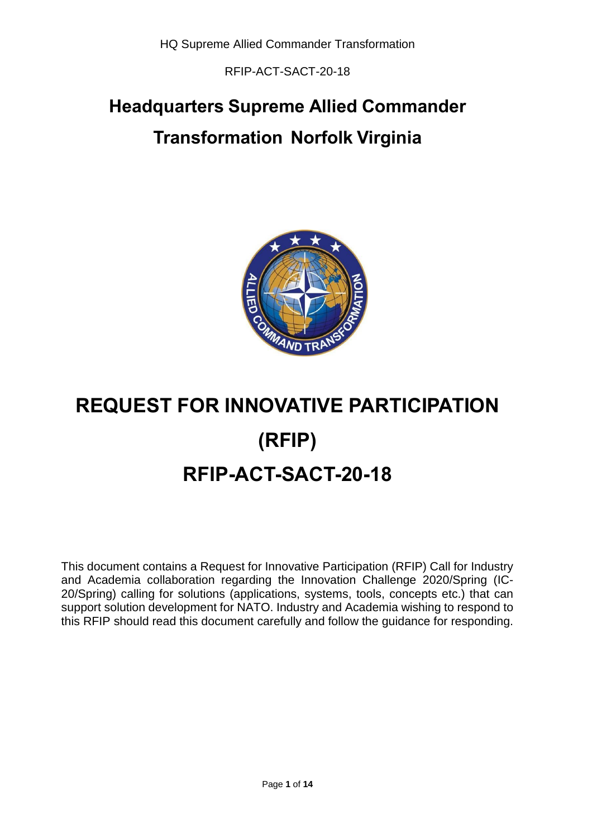RFIP-ACT-SACT-20-18

# **Headquarters Supreme Allied Commander Transformation Norfolk Virginia**



# **REQUEST FOR INNOVATIVE PARTICIPATION (RFIP) RFIP-ACT-SACT-20-18**

This document contains a Request for Innovative Participation (RFIP) Call for Industry and Academia collaboration regarding the Innovation Challenge 2020/Spring (IC-20/Spring) calling for solutions (applications, systems, tools, concepts etc.) that can support solution development for NATO. Industry and Academia wishing to respond to this RFIP should read this document carefully and follow the guidance for responding.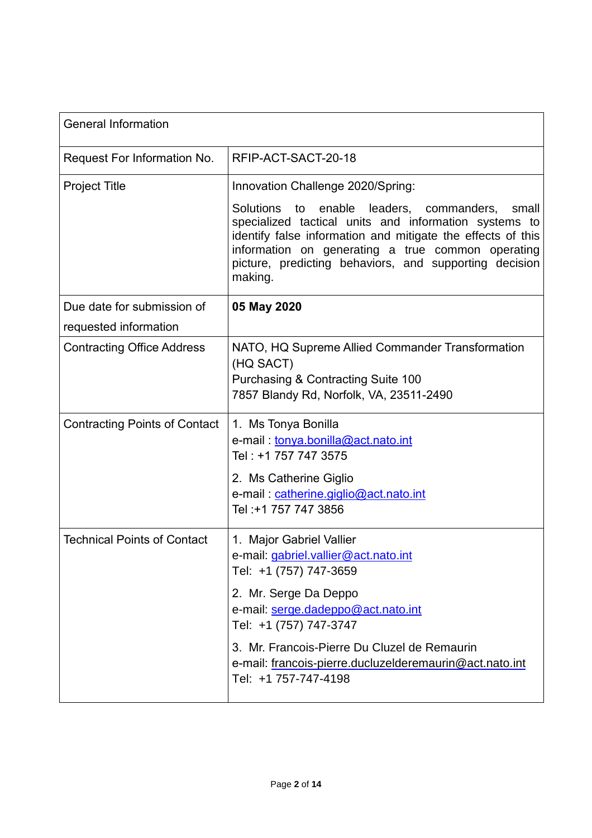| <b>General Information</b>           |                                                                                                                                                                                                                                                                                                        |
|--------------------------------------|--------------------------------------------------------------------------------------------------------------------------------------------------------------------------------------------------------------------------------------------------------------------------------------------------------|
| Request For Information No.          | RFIP-ACT-SACT-20-18                                                                                                                                                                                                                                                                                    |
| <b>Project Title</b>                 | Innovation Challenge 2020/Spring:                                                                                                                                                                                                                                                                      |
|                                      | Solutions to<br>enable leaders, commanders,<br>small<br>specialized tactical units and information systems to<br>identify false information and mitigate the effects of this<br>information on generating a true common operating<br>picture, predicting behaviors, and supporting decision<br>making. |
| Due date for submission of           | 05 May 2020                                                                                                                                                                                                                                                                                            |
| requested information                |                                                                                                                                                                                                                                                                                                        |
| <b>Contracting Office Address</b>    | NATO, HQ Supreme Allied Commander Transformation<br>(HQ SACT)<br>Purchasing & Contracting Suite 100<br>7857 Blandy Rd, Norfolk, VA, 23511-2490                                                                                                                                                         |
| <b>Contracting Points of Contact</b> | 1. Ms Tonya Bonilla<br>e-mail: tonya.bonilla@act.nato.int<br>Tel: +1 757 747 3575<br>2. Ms Catherine Giglio                                                                                                                                                                                            |
|                                      | e-mail: catherine.giglio@act.nato.int<br>Tel: +1 757 747 3856                                                                                                                                                                                                                                          |
| <b>Technical Points of Contact</b>   | 1. Major Gabriel Vallier<br>e-mail: gabriel.vallier@act.nato.int<br>Tel: +1 (757) 747-3659                                                                                                                                                                                                             |
|                                      | 2. Mr. Serge Da Deppo<br>e-mail: serge.dadeppo@act.nato.int<br>Tel: +1 (757) 747-3747                                                                                                                                                                                                                  |
|                                      | 3. Mr. Francois-Pierre Du Cluzel de Remaurin<br>e-mail: francois-pierre.ducluzelderemaurin@act.nato.int<br>Tel: +1 757-747-4198                                                                                                                                                                        |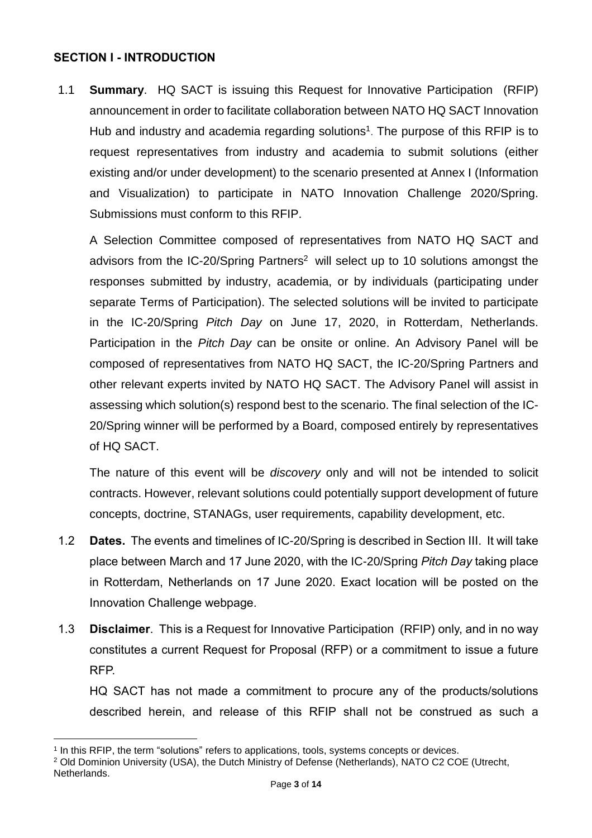#### **SECTION I - INTRODUCTION**

1.1 **Summary**. HQ SACT is issuing this Request for Innovative Participation (RFIP) announcement in order to facilitate collaboration between NATO HQ SACT Innovation Hub and industry and academia regarding solutions<sup>1</sup>. The purpose of this RFIP is to request representatives from industry and academia to submit solutions (either existing and/or under development) to the scenario presented at Annex I (Information and Visualization) to participate in NATO Innovation Challenge 2020/Spring. Submissions must conform to this RFIP.

A Selection Committee composed of representatives from NATO HQ SACT and advisors from the IC-20/Spring Partners<sup>2</sup> will select up to 10 solutions amongst the responses submitted by industry, academia, or by individuals (participating under separate Terms of Participation). The selected solutions will be invited to participate in the IC-20/Spring *Pitch Day* on June 17, 2020, in Rotterdam, Netherlands. Participation in the *Pitch Day* can be onsite or online. An Advisory Panel will be composed of representatives from NATO HQ SACT, the IC-20/Spring Partners and other relevant experts invited by NATO HQ SACT. The Advisory Panel will assist in assessing which solution(s) respond best to the scenario. The final selection of the IC-20/Spring winner will be performed by a Board, composed entirely by representatives of HQ SACT.

The nature of this event will be *discovery* only and will not be intended to solicit contracts. However, relevant solutions could potentially support development of future concepts, doctrine, STANAGs, user requirements, capability development, etc.

- 1.2 **Dates.** The events and timelines of IC-20/Spring is described in Section III. It will take place between March and 17 June 2020, with the IC-20/Spring *Pitch Day* taking place in Rotterdam, Netherlands on 17 June 2020. Exact location will be posted on the Innovation Challenge webpage.
- 1.3 **Disclaimer**. This is a Request for Innovative Participation (RFIP) only, and in no way constitutes a current Request for Proposal (RFP) or a commitment to issue a future RFP.

HQ SACT has not made a commitment to procure any of the products/solutions described herein, and release of this RFIP shall not be construed as such a

 $\overline{a}$ 

<sup>1</sup> In this RFIP, the term "solutions" refers to applications, tools, systems concepts or devices.

<sup>2</sup> Old Dominion University (USA), the Dutch Ministry of Defense (Netherlands), NATO C2 COE (Utrecht,

Netherlands.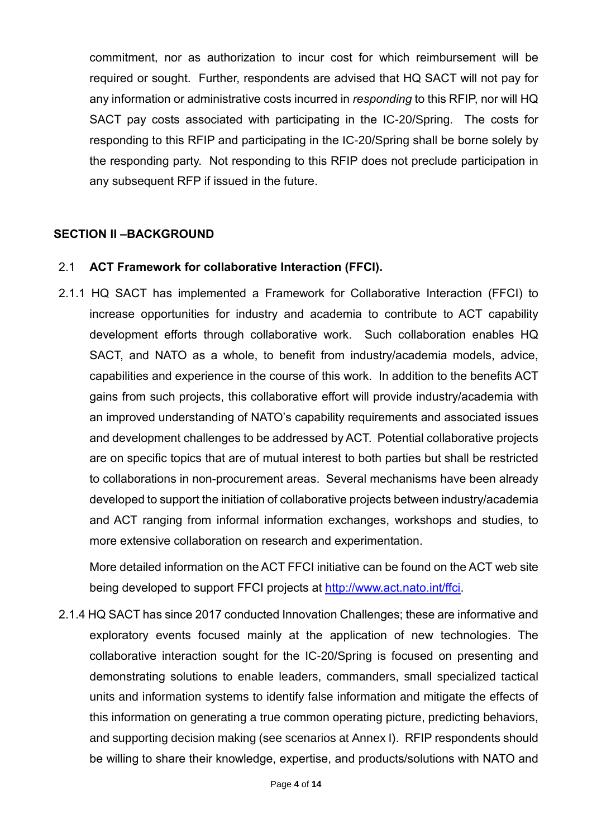commitment, nor as authorization to incur cost for which reimbursement will be required or sought. Further, respondents are advised that HQ SACT will not pay for any information or administrative costs incurred in *responding* to this RFIP, nor will HQ SACT pay costs associated with participating in the IC-20/Spring. The costs for responding to this RFIP and participating in the IC-20/Spring shall be borne solely by the responding party. Not responding to this RFIP does not preclude participation in any subsequent RFP if issued in the future.

#### **SECTION II –BACKGROUND**

#### 2.1 **ACT Framework for collaborative Interaction (FFCI).**

2.1.1 HQ SACT has implemented a Framework for Collaborative Interaction (FFCI) to increase opportunities for industry and academia to contribute to ACT capability development efforts through collaborative work. Such collaboration enables HQ SACT, and NATO as a whole, to benefit from industry/academia models, advice, capabilities and experience in the course of this work. In addition to the benefits ACT gains from such projects, this collaborative effort will provide industry/academia with an improved understanding of NATO's capability requirements and associated issues and development challenges to be addressed by ACT. Potential collaborative projects are on specific topics that are of mutual interest to both parties but shall be restricted to collaborations in non-procurement areas. Several mechanisms have been already developed to support the initiation of collaborative projects between industry/academia and ACT ranging from informal information exchanges, workshops and studies, to more extensive collaboration on research and experimentation.

More detailed information on the ACT FFCI initiative can be found on the ACT web site being developed to support FFCI projects at [http://www.act.nato.int/ffci.](http://www.act.nato.int/ffci)

2.1.4 HQ SACT has since 2017 conducted Innovation Challenges; these are informative and exploratory events focused mainly at the application of new technologies. The collaborative interaction sought for the IC-20/Spring is focused on presenting and demonstrating solutions to enable leaders, commanders, small specialized tactical units and information systems to identify false information and mitigate the effects of this information on generating a true common operating picture, predicting behaviors, and supporting decision making (see scenarios at Annex I). RFIP respondents should be willing to share their knowledge, expertise, and products/solutions with NATO and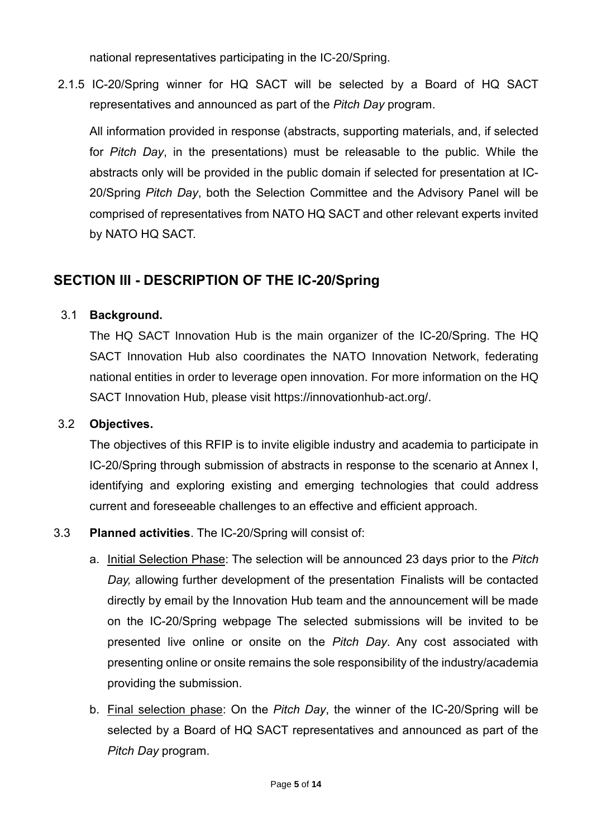national representatives participating in the IC-20/Spring.

2.1.5 IC-20/Spring winner for HQ SACT will be selected by a Board of HQ SACT representatives and announced as part of the *Pitch Day* program.

All information provided in response (abstracts, supporting materials, and, if selected for *Pitch Day*, in the presentations) must be releasable to the public. While the abstracts only will be provided in the public domain if selected for presentation at IC-20/Spring *Pitch Day*, both the Selection Committee and the Advisory Panel will be comprised of representatives from NATO HQ SACT and other relevant experts invited by NATO HQ SACT.

# **SECTION III - DESCRIPTION OF THE IC-20/Spring**

#### 3.1 **Background.**

The HQ SACT Innovation Hub is the main organizer of the IC-20/Spring. The HQ SACT Innovation Hub also coordinates the NATO Innovation Network, federating national entities in order to leverage open innovation. For more information on the HQ SACT Innovation Hub, please visit https://innovationhub-act.org/.

#### 3.2 **Objectives.**

The objectives of this RFIP is to invite eligible industry and academia to participate in IC-20/Spring through submission of abstracts in response to the scenario at Annex I, identifying and exploring existing and emerging technologies that could address current and foreseeable challenges to an effective and efficient approach.

#### 3.3 **Planned activities**. The IC-20/Spring will consist of:

- a. Initial Selection Phase: The selection will be announced 23 days prior to the *Pitch Day,* allowing further development of the presentation Finalists will be contacted directly by email by the Innovation Hub team and the announcement will be made on the IC-20/Spring webpage The selected submissions will be invited to be presented live online or onsite on the *Pitch Day*. Any cost associated with presenting online or onsite remains the sole responsibility of the industry/academia providing the submission.
- b. Final selection phase: On the *Pitch Day*, the winner of the IC-20/Spring will be selected by a Board of HQ SACT representatives and announced as part of the *Pitch Day* program.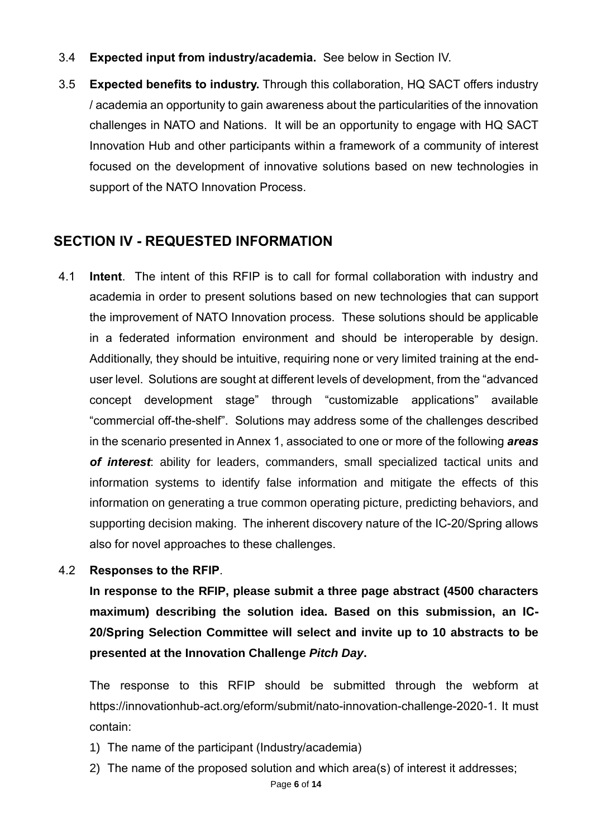- 3.4 **Expected input from industry/academia.** See below in Section IV.
- 3.5 **Expected benefits to industry.** Through this collaboration, HQ SACT offers industry / academia an opportunity to gain awareness about the particularities of the innovation challenges in NATO and Nations. It will be an opportunity to engage with HQ SACT Innovation Hub and other participants within a framework of a community of interest focused on the development of innovative solutions based on new technologies in support of the NATO Innovation Process.

# **SECTION IV - REQUESTED INFORMATION**

- 4.1 **Intent**. The intent of this RFIP is to call for formal collaboration with industry and academia in order to present solutions based on new technologies that can support the improvement of NATO Innovation process. These solutions should be applicable in a federated information environment and should be interoperable by design. Additionally, they should be intuitive, requiring none or very limited training at the enduser level. Solutions are sought at different levels of development, from the "advanced concept development stage" through "customizable applications" available "commercial off-the-shelf". Solutions may address some of the challenges described in the scenario presented in Annex 1, associated to one or more of the following *areas of interest*: ability for leaders, commanders, small specialized tactical units and information systems to identify false information and mitigate the effects of this information on generating a true common operating picture, predicting behaviors, and supporting decision making. The inherent discovery nature of the IC-20/Spring allows also for novel approaches to these challenges.
- 4.2 **Responses to the RFIP**.

**In response to the RFIP, please submit a three page abstract (4500 characters maximum) describing the solution idea. Based on this submission, an IC-20/Spring Selection Committee will select and invite up to 10 abstracts to be presented at the Innovation Challenge** *Pitch Day***.**

The response to this RFIP should be submitted through the webform at https://innovationhub-act.org/eform/submit/nato-innovation-challenge-2020-1. It must contain:

- 1) The name of the participant (Industry/academia)
- 2) The name of the proposed solution and which area(s) of interest it addresses;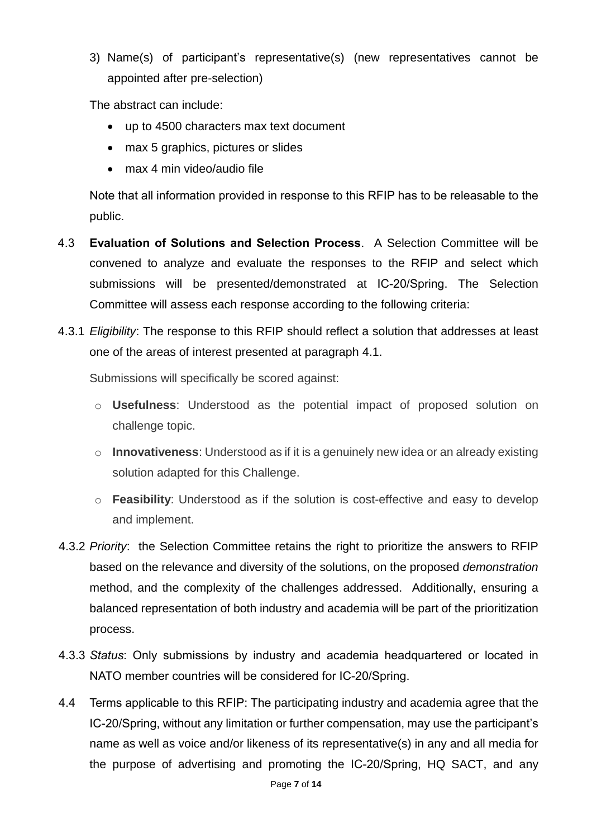3) Name(s) of participant's representative(s) (new representatives cannot be appointed after pre-selection)

The abstract can include:

- up to 4500 characters max text document
- max 5 graphics, pictures or slides
- max 4 min video/audio file

Note that all information provided in response to this RFIP has to be releasable to the public.

- 4.3 **Evaluation of Solutions and Selection Process**. A Selection Committee will be convened to analyze and evaluate the responses to the RFIP and select which submissions will be presented/demonstrated at IC-20/Spring. The Selection Committee will assess each response according to the following criteria:
- 4.3.1 *Eligibility*: The response to this RFIP should reflect a solution that addresses at least one of the areas of interest presented at paragraph 4.1.

Submissions will specifically be scored against:

- o **Usefulness**: Understood as the potential impact of proposed solution on challenge topic.
- o **Innovativeness**: Understood as if it is a genuinely new idea or an already existing solution adapted for this Challenge.
- o **Feasibility**: Understood as if the solution is cost-effective and easy to develop and implement.
- 4.3.2 *Priority*: the Selection Committee retains the right to prioritize the answers to RFIP based on the relevance and diversity of the solutions, on the proposed *demonstration* method, and the complexity of the challenges addressed. Additionally, ensuring a balanced representation of both industry and academia will be part of the prioritization process.
- 4.3.3 *Status*: Only submissions by industry and academia headquartered or located in NATO member countries will be considered for IC-20/Spring.
- 4.4 Terms applicable to this RFIP: The participating industry and academia agree that the IC-20/Spring, without any limitation or further compensation, may use the participant's name as well as voice and/or likeness of its representative(s) in any and all media for the purpose of advertising and promoting the IC-20/Spring, HQ SACT, and any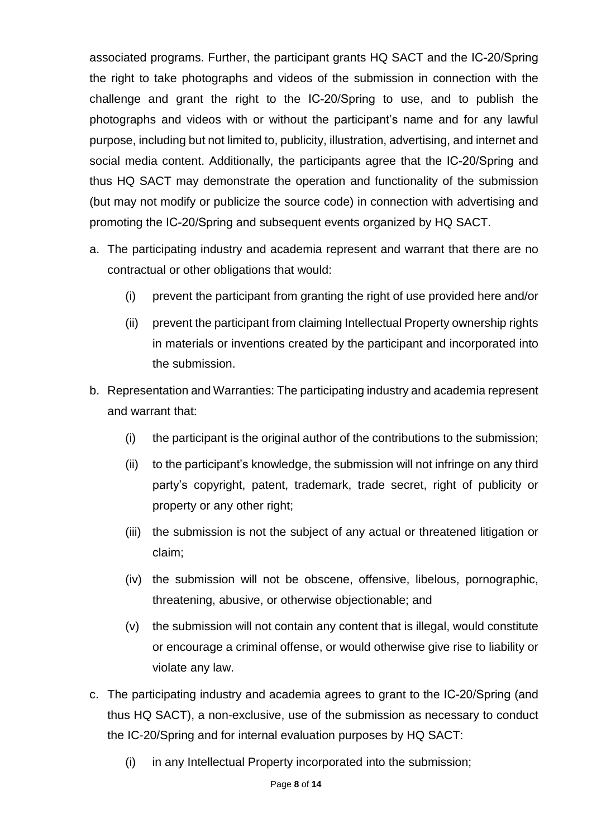associated programs. Further, the participant grants HQ SACT and the IC-20/Spring the right to take photographs and videos of the submission in connection with the challenge and grant the right to the IC-20/Spring to use, and to publish the photographs and videos with or without the participant's name and for any lawful purpose, including but not limited to, publicity, illustration, advertising, and internet and social media content. Additionally, the participants agree that the IC-20/Spring and thus HQ SACT may demonstrate the operation and functionality of the submission (but may not modify or publicize the source code) in connection with advertising and promoting the IC-20/Spring and subsequent events organized by HQ SACT.

- a. The participating industry and academia represent and warrant that there are no contractual or other obligations that would:
	- (i) prevent the participant from granting the right of use provided here and/or
	- (ii) prevent the participant from claiming Intellectual Property ownership rights in materials or inventions created by the participant and incorporated into the submission.
- b. Representation and Warranties: The participating industry and academia represent and warrant that:
	- (i) the participant is the original author of the contributions to the submission;
	- (ii) to the participant's knowledge, the submission will not infringe on any third party's copyright, patent, trademark, trade secret, right of publicity or property or any other right;
	- (iii) the submission is not the subject of any actual or threatened litigation or claim;
	- (iv) the submission will not be obscene, offensive, libelous, pornographic, threatening, abusive, or otherwise objectionable; and
	- (v) the submission will not contain any content that is illegal, would constitute or encourage a criminal offense, or would otherwise give rise to liability or violate any law.
- c. The participating industry and academia agrees to grant to the IC-20/Spring (and thus HQ SACT), a non-exclusive, use of the submission as necessary to conduct the IC-20/Spring and for internal evaluation purposes by HQ SACT:
	- (i) in any Intellectual Property incorporated into the submission;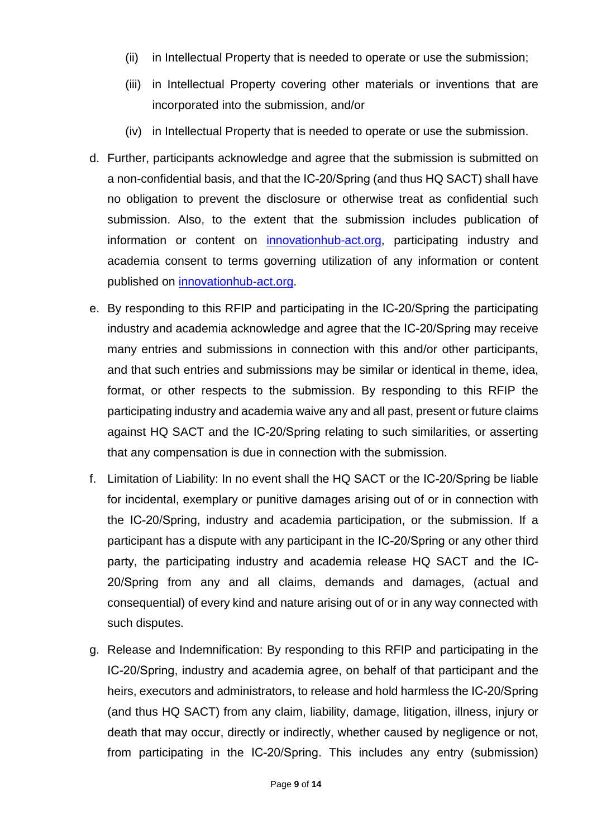- (ii) in Intellectual Property that is needed to operate or use the submission;
- (iii) in Intellectual Property covering other materials or inventions that are incorporated into the submission, and/or
- (iv) in Intellectual Property that is needed to operate or use the submission.
- d. Further, participants acknowledge and agree that the submission is submitted on a non-confidential basis, and that the IC-20/Spring (and thus HQ SACT) shall have no obligation to prevent the disclosure or otherwise treat as confidential such submission. Also, to the extent that the submission includes publication of information or content on [innovationhub-act.org,](https://www.innovationhub-act.org/) participating industry and academia consent to terms governing utilization of any information or content published on [innovationhub-act.org.](https://www.innovationhub-act.org/)
- e. By responding to this RFIP and participating in the IC-20/Spring the participating industry and academia acknowledge and agree that the IC-20/Spring may receive many entries and submissions in connection with this and/or other participants, and that such entries and submissions may be similar or identical in theme, idea, format, or other respects to the submission. By responding to this RFIP the participating industry and academia waive any and all past, present or future claims against HQ SACT and the IC-20/Spring relating to such similarities, or asserting that any compensation is due in connection with the submission.
- f. Limitation of Liability: In no event shall the HQ SACT or the IC-20/Spring be liable for incidental, exemplary or punitive damages arising out of or in connection with the IC-20/Spring, industry and academia participation, or the submission. If a participant has a dispute with any participant in the IC-20/Spring or any other third party, the participating industry and academia release HQ SACT and the IC-20/Spring from any and all claims, demands and damages, (actual and consequential) of every kind and nature arising out of or in any way connected with such disputes.
- g. Release and Indemnification: By responding to this RFIP and participating in the IC-20/Spring, industry and academia agree, on behalf of that participant and the heirs, executors and administrators, to release and hold harmless the IC-20/Spring (and thus HQ SACT) from any claim, liability, damage, litigation, illness, injury or death that may occur, directly or indirectly, whether caused by negligence or not, from participating in the IC-20/Spring. This includes any entry (submission)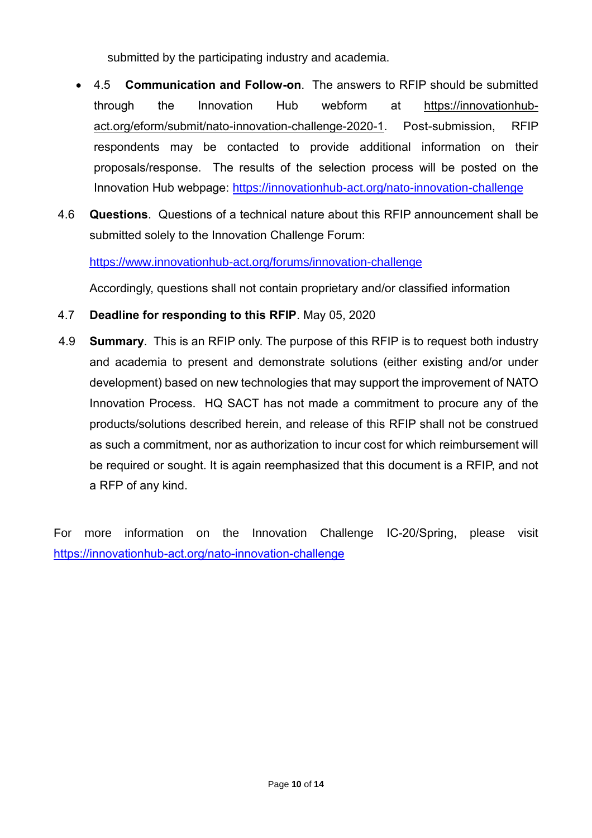submitted by the participating industry and academia.

- 4.5 **Communication and Follow-on**. The answers to RFIP should be submitted through the Innovation Hub webform at https://innovationhubact.org/eform/submit/nato-innovation-challenge-2020-1. Post-submission, RFIP respondents may be contacted to provide additional information on their proposals/response. The results of the selection process will be posted on the Innovation Hub webpage: <https://innovationhub-act.org/nato-innovation-challenge>
- 4.6 **Questions**. Questions of a technical nature about this RFIP announcement shall be submitted solely to the Innovation Challenge Forum:

<https://www.innovationhub-act.org/forums/innovation-challenge>

Accordingly, questions shall not contain proprietary and/or classified information

- 4.7 **Deadline for responding to this RFIP**. May 05, 2020
- 4.9 **Summary**. This is an RFIP only. The purpose of this RFIP is to request both industry and academia to present and demonstrate solutions (either existing and/or under development) based on new technologies that may support the improvement of NATO Innovation Process. HQ SACT has not made a commitment to procure any of the products/solutions described herein, and release of this RFIP shall not be construed as such a commitment, nor as authorization to incur cost for which reimbursement will be required or sought. It is again reemphasized that this document is a RFIP, and not a RFP of any kind.

For more information on the Innovation Challenge IC-20/Spring, please visit <https://innovationhub-act.org/nato-innovation-challenge>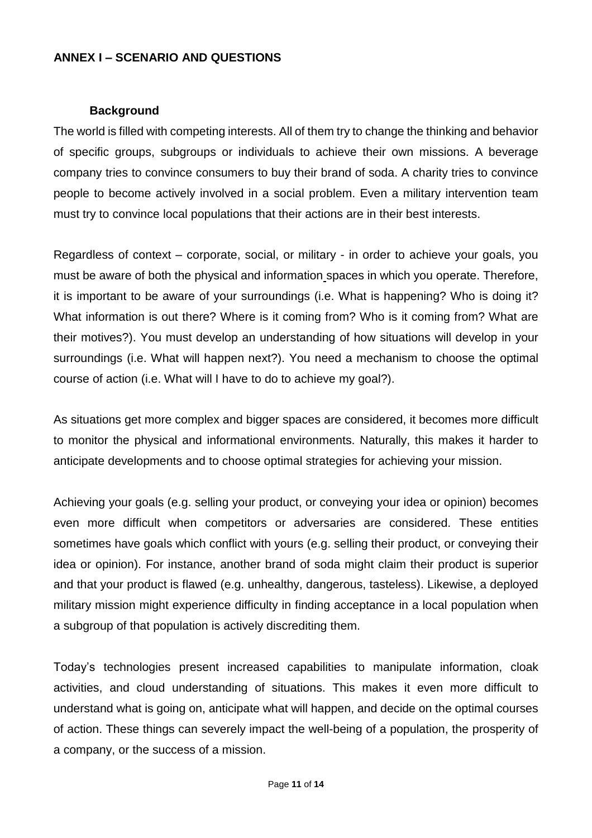#### **ANNEX I – SCENARIO AND QUESTIONS**

#### **Background**

The world is filled with competing interests. All of them try to change the thinking and behavior of specific groups, subgroups or individuals to achieve their own missions. A beverage company tries to convince consumers to buy their brand of soda. A charity tries to convince people to become actively involved in a social problem. Even a military intervention team must try to convince local populations that their actions are in their best interests.

Regardless of context – corporate, social, or military - in order to achieve your goals, you must be aware of both the physical and information spaces in which you operate. Therefore, it is important to be aware of your surroundings (i.e. What is happening? Who is doing it? What information is out there? Where is it coming from? Who is it coming from? What are their motives?). You must develop an understanding of how situations will develop in your surroundings (i.e. What will happen next?). You need a mechanism to choose the optimal course of action (i.e. What will I have to do to achieve my goal?).

As situations get more complex and bigger spaces are considered, it becomes more difficult to monitor the physical and informational environments. Naturally, this makes it harder to anticipate developments and to choose optimal strategies for achieving your mission.

Achieving your goals (e.g. selling your product, or conveying your idea or opinion) becomes even more difficult when competitors or adversaries are considered. These entities sometimes have goals which conflict with yours (e.g. selling their product, or conveying their idea or opinion). For instance, another brand of soda might claim their product is superior and that your product is flawed (e.g. unhealthy, dangerous, tasteless). Likewise, a deployed military mission might experience difficulty in finding acceptance in a local population when a subgroup of that population is actively discrediting them.

Today's technologies present increased capabilities to manipulate information, cloak activities, and cloud understanding of situations. This makes it even more difficult to understand what is going on, anticipate what will happen, and decide on the optimal courses of action. These things can severely impact the well-being of a population, the prosperity of a company, or the success of a mission.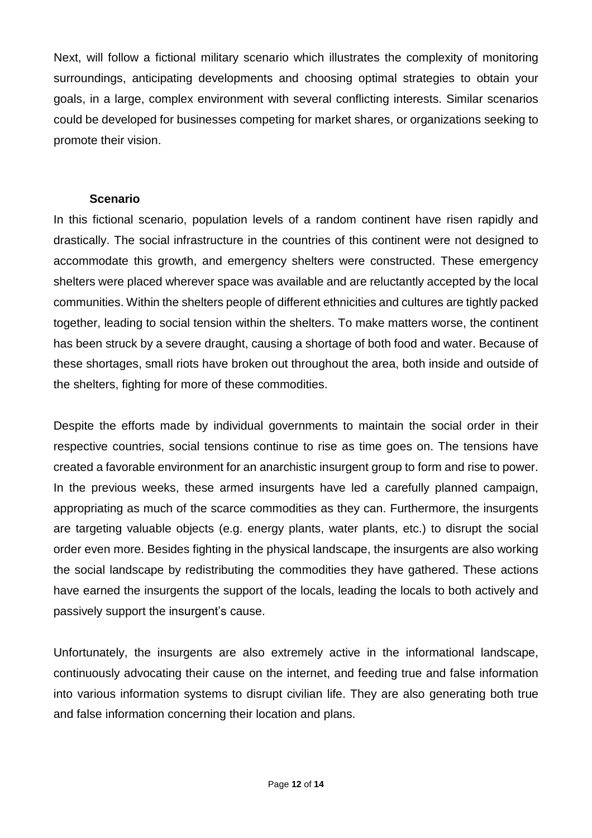Next, will follow a fictional military scenario which illustrates the complexity of monitoring surroundings, anticipating developments and choosing optimal strategies to obtain your goals, in a large, complex environment with several conflicting interests. Similar scenarios could be developed for businesses competing for market shares, or organizations seeking to promote their vision.

#### **Scenario**

In this fictional scenario, population levels of a random continent have risen rapidly and drastically. The social infrastructure in the countries of this continent were not designed to accommodate this growth, and emergency shelters were constructed. These emergency shelters were placed wherever space was available and are reluctantly accepted by the local communities. Within the shelters people of different ethnicities and cultures are tightly packed together, leading to social tension within the shelters. To make matters worse, the continent has been struck by a severe draught, causing a shortage of both food and water. Because of these shortages, small riots have broken out throughout the area, both inside and outside of the shelters, fighting for more of these commodities.

Despite the efforts made by individual governments to maintain the social order in their respective countries, social tensions continue to rise as time goes on. The tensions have created a favorable environment for an anarchistic insurgent group to form and rise to power. In the previous weeks, these armed insurgents have led a carefully planned campaign, appropriating as much of the scarce commodities as they can. Furthermore, the insurgents are targeting valuable objects (e.g. energy plants, water plants, etc.) to disrupt the social order even more. Besides fighting in the physical landscape, the insurgents are also working the social landscape by redistributing the commodities they have gathered. These actions have earned the insurgents the support of the locals, leading the locals to both actively and passively support the insurgent's cause.

Unfortunately, the insurgents are also extremely active in the informational landscape, continuously advocating their cause on the internet, and feeding true and false information into various information systems to disrupt civilian life. They are also generating both true and false information concerning their location and plans.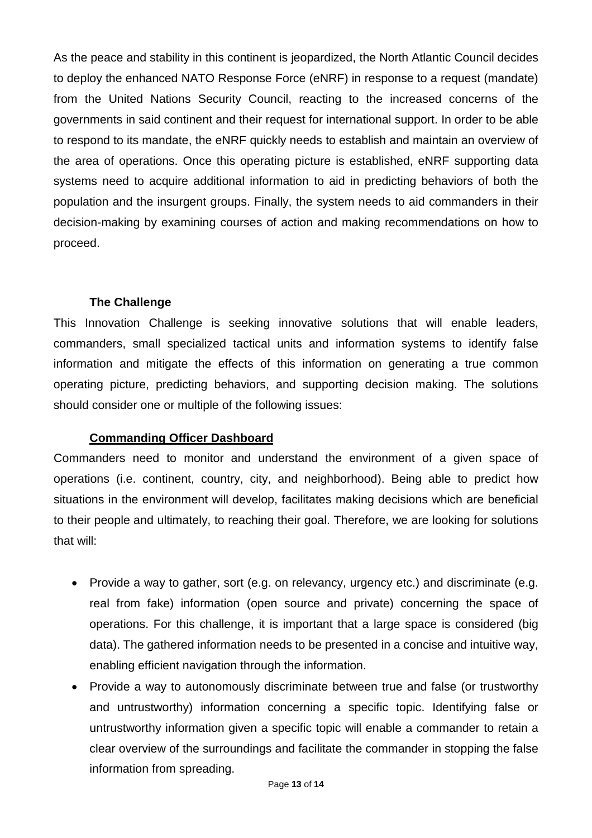As the peace and stability in this continent is jeopardized, the North Atlantic Council decides to deploy the enhanced NATO Response Force (eNRF) in response to a request (mandate) from the United Nations Security Council, reacting to the increased concerns of the governments in said continent and their request for international support. In order to be able to respond to its mandate, the eNRF quickly needs to establish and maintain an overview of the area of operations. Once this operating picture is established, eNRF supporting data systems need to acquire additional information to aid in predicting behaviors of both the population and the insurgent groups. Finally, the system needs to aid commanders in their decision-making by examining courses of action and making recommendations on how to proceed.

#### **The Challenge**

This Innovation Challenge is seeking innovative solutions that will enable leaders, commanders, small specialized tactical units and information systems to identify false information and mitigate the effects of this information on generating a true common operating picture, predicting behaviors, and supporting decision making. The solutions should consider one or multiple of the following issues:

#### **Commanding Officer Dashboard**

Commanders need to monitor and understand the environment of a given space of operations (i.e. continent, country, city, and neighborhood). Being able to predict how situations in the environment will develop, facilitates making decisions which are beneficial to their people and ultimately, to reaching their goal. Therefore, we are looking for solutions that will:

- Provide a way to gather, sort (e.g. on relevancy, urgency etc.) and discriminate (e.g. real from fake) information (open source and private) concerning the space of operations. For this challenge, it is important that a large space is considered (big data). The gathered information needs to be presented in a concise and intuitive way, enabling efficient navigation through the information.
- Provide a way to autonomously discriminate between true and false (or trustworthy and untrustworthy) information concerning a specific topic. Identifying false or untrustworthy information given a specific topic will enable a commander to retain a clear overview of the surroundings and facilitate the commander in stopping the false information from spreading.